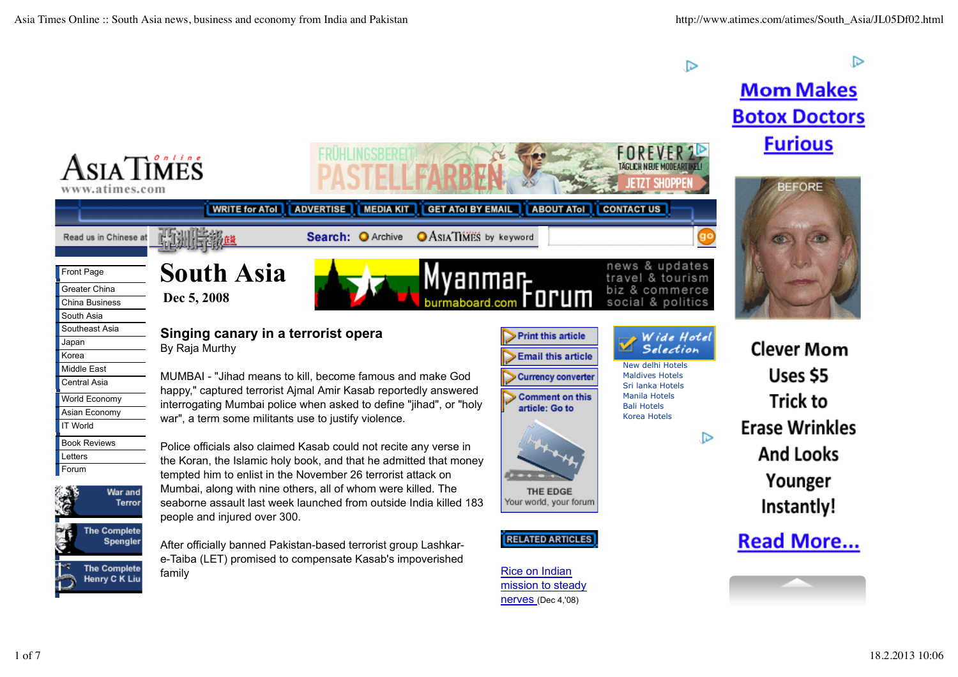ГD

 $\triangleright$ 

## **Mom Makes Botox Doctors Furious**

**BEFORE** 

**Clever Mom** 

Uses \$5

**Trick to** 

**And Looks** 

Younger

Instantly!



mission to steady nerves (Dec 4,'08)

Henry C K Liu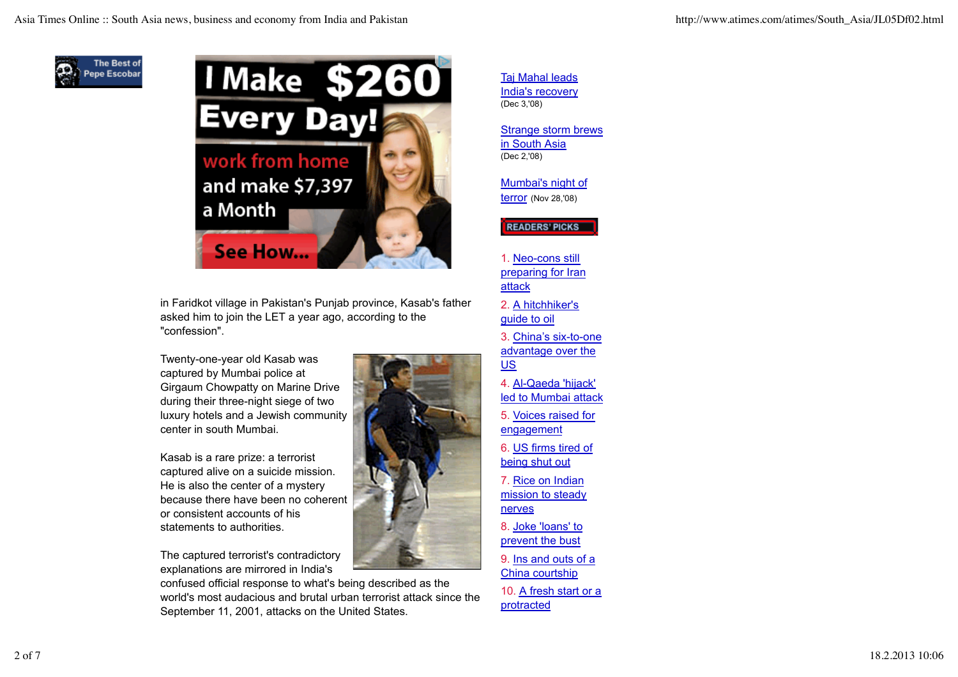



in Faridkot village in Pakistan's Punjab province, Kasab's father asked him to join the LET a year ago, according to the "confession".

Twenty-one-year old Kasab was captured by Mumbai police at Girgaum Chowpatty on Marine Drive during their three-night siege of two luxury hotels and a Jewish community center in south Mumbai.

Kasab is a rare prize: a terrorist captured alive on a suicide mission. He is also the center of a mystery because there have been no coherent or consistent accounts of his statements to authorities.

The captured terrorist's contradictory explanations are mirrored in India's

confused official response to what's being described as the world's most audacious and brutal urban terrorist attack since the September 11, 2001, attacks on the United States.

Taj Mahal leads India's recovery (Dec 3,'08)

Strange storm brews in South Asia (Dec 2,'08)

Mumbai's night of terror (Nov 28,'08)

READERS' PICKS

1. Neo-cons still preparing for Iran attack

2. A hitchhiker's guide to oil

- 3. China's six-to-one advantage over the US
- 4. Al-Qaeda 'hijack' led to Mumbai attack
- 5. Voices raised for engagement
- 6. US firms tired of being shut out
- 7. Rice on Indian mission to steady nerves
- 8. Joke 'loans' to prevent the bust
- 9. Ins and outs of a China courtship

10. A fresh start or a protracted

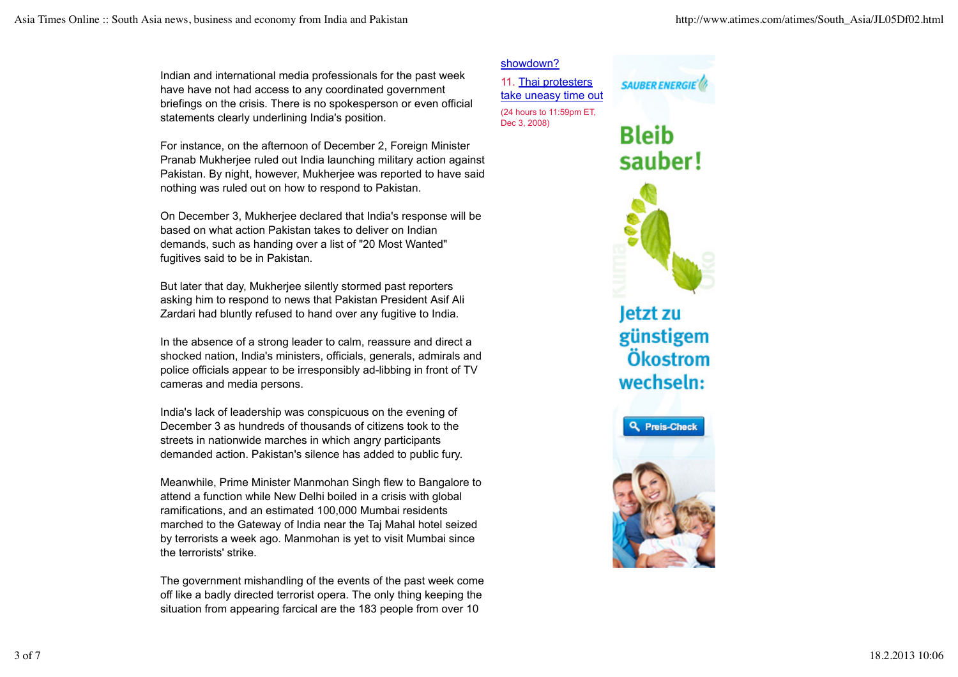Indian and international media professionals for the past week have have not had access to any coordinated government briefings on the crisis. There is no spokesperson or even official statements clearly underlining India's position.

For instance, on the afternoon of December 2, Foreign Minister Pranab Mukherjee ruled out India launching military action against Pakistan. By night, however, Mukherjee was reported to have said nothing was ruled out on how to respond to Pakistan.

On December 3, Mukherjee declared that India's response will be based on what action Pakistan takes to deliver on Indian demands, such as handing over a list of "20 Most Wanted" fugitives said to be in Pakistan.

But later that day, Mukherjee silently stormed past reporters asking him to respond to news that Pakistan President Asif Ali Zardari had bluntly refused to hand over any fugitive to India.

In the absence of a strong leader to calm, reassure and direct a shocked nation, India's ministers, officials, generals, admirals and police officials appear to be irresponsibly ad-libbing in front of TV cameras and media persons.

India's lack of leadership was conspicuous on the evening of December 3 as hundreds of thousands of citizens took to the streets in nationwide marches in which angry participants demanded action. Pakistan's silence has added to public fury.

Meanwhile, Prime Minister Manmohan Singh flew to Bangalore to attend a function while New Delhi boiled in a crisis with global ramifications, and an estimated 100,000 Mumbai residents marched to the Gateway of India near the Taj Mahal hotel seized by terrorists a week ago. Manmohan is yet to visit Mumbai since the terrorists' strike.

The government mishandling of the events of the past week come off like a badly directed terrorist opera. The only thing keeping the situation from appearing farcical are the 183 people from over 10

## showdown?

11. Thai protesters take uneasy time out (24 hours to 11:59pm ET, Dec 3, 2008)



**SAUBER ENERGIE** 

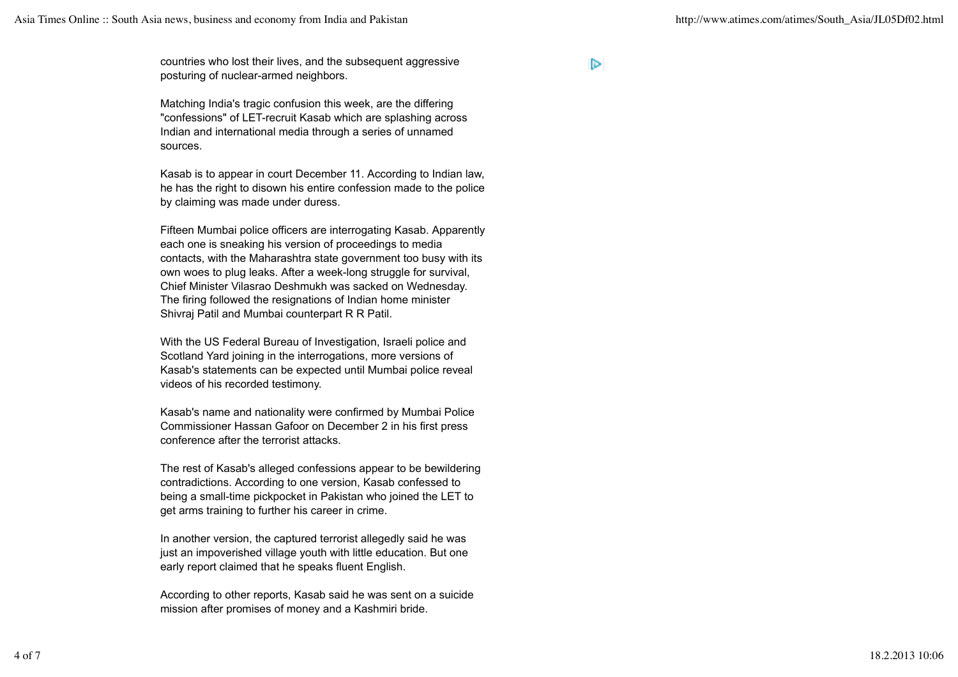countries who lost their lives, and the subsequent aggressive posturing of nuclear-armed neighbors.

Matching India's tragic confusion this week, are the differing "confessions" of LET-recruit Kasab which are splashing across Indian and international media through a series of unnamed sources.

Kasab is to appear in court December 11. According to Indian law, he has the right to disown his entire confession made to the police by claiming was made under duress.

Fifteen Mumbai police officers are interrogating Kasab. Apparently each one is sneaking his version of proceedings to media contacts, with the Maharashtra state government too busy with its own woes to plug leaks. After a week-long struggle for survival, Chief Minister Vilasrao Deshmukh was sacked on Wednesday. The firing followed the resignations of Indian home minister Shivraj Patil and Mumbai counterpart R R Patil.

With the US Federal Bureau of Investigation, Israeli police and Scotland Yard joining in the interrogations, more versions of Kasab's statements can be expected until Mumbai police reveal videos of his recorded testimony.

Kasab's name and nationality were confirmed by Mumbai Police Commissioner Hassan Gafoor on December 2 in his first press conference after the terrorist attacks.

The rest of Kasab's alleged confessions appear to be bewildering contradictions. According to one version, Kasab confessed to being a small-time pickpocket in Pakistan who joined the LET to get arms training to further his career in crime.

In another version, the captured terrorist allegedly said he was just an impoverished village youth with little education. But one early report claimed that he speaks fluent English.

According to other reports, Kasab said he was sent on a suicide mission after promises of money and a Kashmiri bride.

 $\triangleright$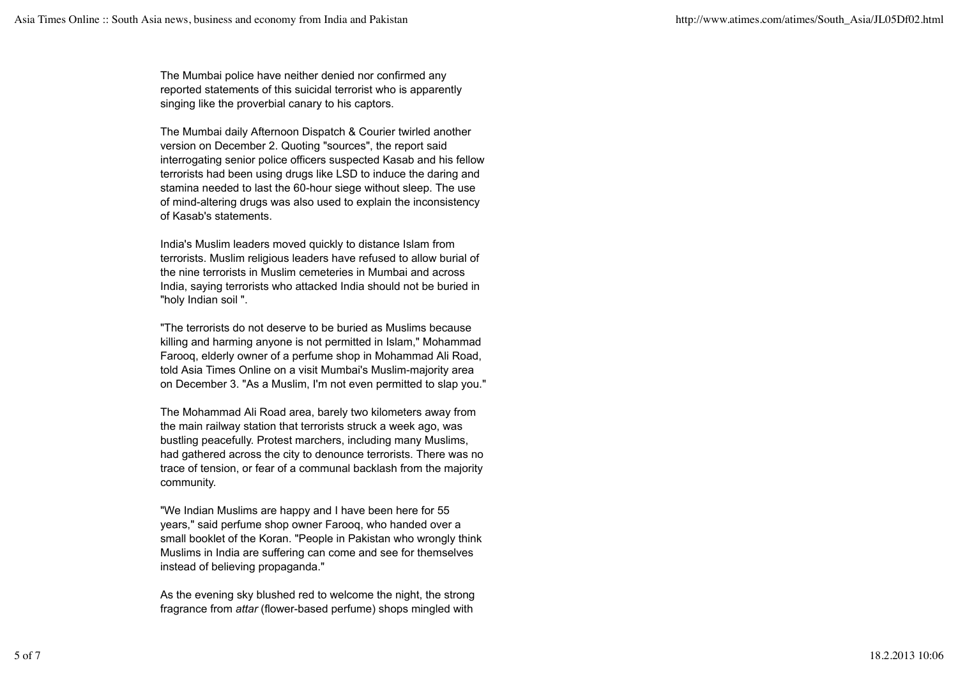The Mumbai police have neither denied nor confirmed any reported statements of this suicidal terrorist who is apparently singing like the proverbial canary to his captors.

The Mumbai daily Afternoon Dispatch & Courier twirled another version on December 2. Quoting "sources", the report said interrogating senior police officers suspected Kasab and his fellow terrorists had been using drugs like LSD to induce the daring and stamina needed to last the 60-hour siege without sleep. The use of mind-altering drugs was also used to explain the inconsistency of Kasab's statements.

India's Muslim leaders moved quickly to distance Islam from terrorists. Muslim religious leaders have refused to allow burial of the nine terrorists in Muslim cemeteries in Mumbai and across India, saying terrorists who attacked India should not be buried in "holy Indian soil ".

"The terrorists do not deserve to be buried as Muslims because killing and harming anyone is not permitted in Islam," Mohammad Farooq, elderly owner of a perfume shop in Mohammad Ali Road, told Asia Times Online on a visit Mumbai's Muslim-majority area on December 3. "As a Muslim, I'm not even permitted to slap you."

The Mohammad Ali Road area, barely two kilometers away from the main railway station that terrorists struck a week ago, was bustling peacefully. Protest marchers, including many Muslims, had gathered across the city to denounce terrorists. There was no trace of tension, or fear of a communal backlash from the majority community.

"We Indian Muslims are happy and I have been here for 55 years," said perfume shop owner Farooq, who handed over a small booklet of the Koran. "People in Pakistan who wrongly think Muslims in India are suffering can come and see for themselves instead of believing propaganda."

As the evening sky blushed red to welcome the night, the strong fragrance from *attar* (flower-based perfume) shops mingled with